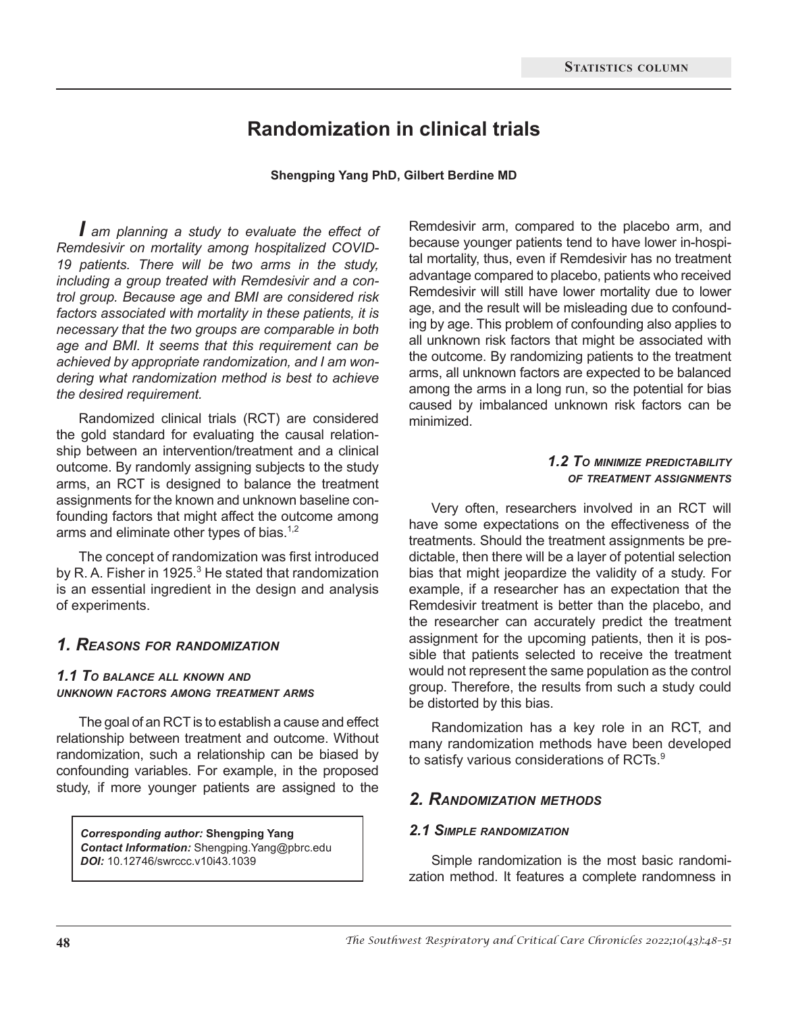# **Randomization in clinical trials**

#### **Shengping Yang PhD, Gilbert Berdine MD**

*I am planning a study to evaluate the effect of Remdesivir on mortality among hospitalized COVID-19 patients. There will be two arms in the study, including a group treated with Remdesivir and a control group. Because age and BMI are considered risk factors associated with mortality in these patients, it is necessary that the two groups are comparable in both age and BMI. It seems that this requirement can be achieved by appropriate randomization, and I am wondering what randomization method is best to achieve the desired requirement.* 

Randomized clinical trials (RCT) are considered the gold standard for evaluating the causal relationship between an intervention/treatment and a clinical outcome. By randomly assigning subjects to the study arms, an RCT is designed to balance the treatment assignments for the known and unknown baseline confounding factors that might affect the outcome among arms and eliminate other types of bias.<sup>1,2</sup>

The concept of randomization was first introduced by R. A. Fisher in 1925. $3$  He stated that randomization is an essential ingredient in the design and analysis of experiments.

# *1. Reasons for randomization*

#### *1.1 To balance all known and unknown factors among treatment arms*

The goal of an RCT is to establish a cause and effect relationship between treatment and outcome. Without randomization, such a relationship can be biased by confounding variables. For example, in the proposed study, if more younger patients are assigned to the

*Corresponding author:* **Shengping Yang** *Contact Information:* Shengping.Yang@pbrc.edu *DOI:* 10.12746/swrccc.v10i43.1039

Remdesivir arm, compared to the placebo arm, and because younger patients tend to have lower in-hospital mortality, thus, even if Remdesivir has no treatment advantage compared to placebo, patients who received Remdesivir will still have lower mortality due to lower age, and the result will be misleading due to confounding by age. This problem of confounding also applies to all unknown risk factors that might be associated with the outcome. By randomizing patients to the treatment arms, all unknown factors are expected to be balanced among the arms in a long run, so the potential for bias caused by imbalanced unknown risk factors can be minimized.

#### *1.2 To minimize predictability of treatment assignments*

Very often, researchers involved in an RCT will have some expectations on the effectiveness of the treatments. Should the treatment assignments be predictable, then there will be a layer of potential selection bias that might jeopardize the validity of a study. For example, if a researcher has an expectation that the Remdesivir treatment is better than the placebo, and the researcher can accurately predict the treatment assignment for the upcoming patients, then it is possible that patients selected to receive the treatment would not represent the same population as the control group. Therefore, the results from such a study could be distorted by this bias.

Randomization has a key role in an RCT, and many randomization methods have been developed to satisfy various considerations of RCTs.<sup>9</sup>

### *2. Randomization methods*

#### *2.1 Simple randomization*

Simple randomization is the most basic randomization method. It features a complete randomness in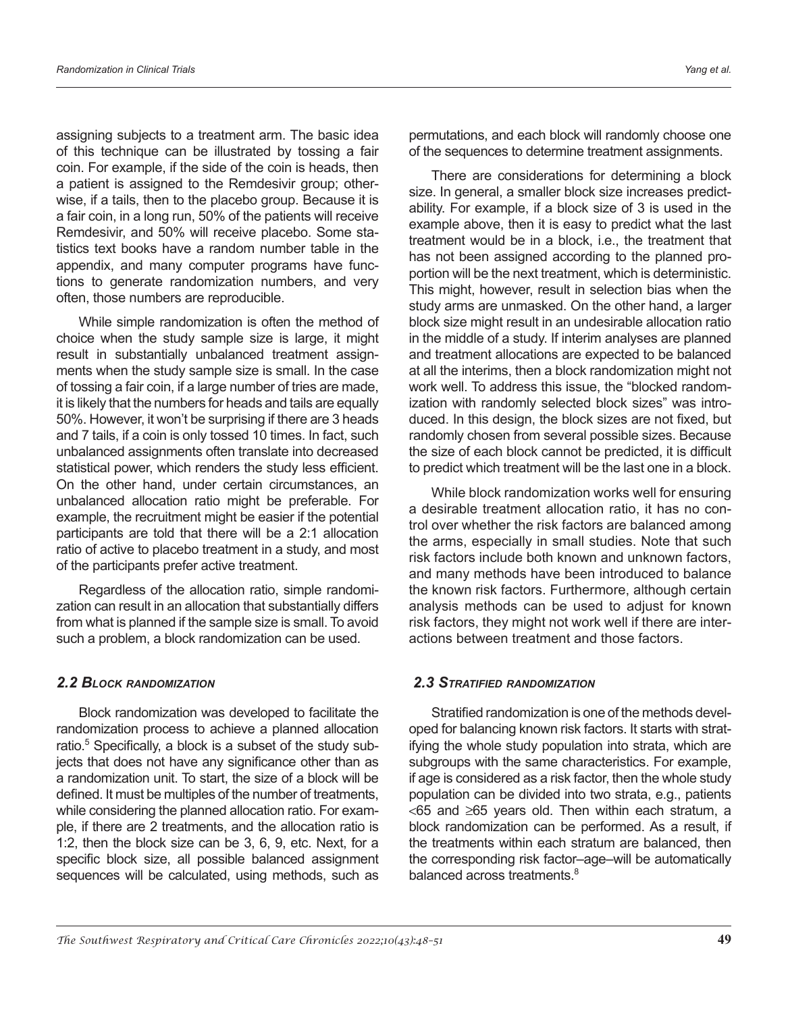assigning subjects to a treatment arm. The basic idea of this technique can be illustrated by tossing a fair coin. For example, if the side of the coin is heads, then a patient is assigned to the Remdesivir group; otherwise, if a tails, then to the placebo group. Because it is a fair coin, in a long run, 50% of the patients will receive Remdesivir, and 50% will receive placebo. Some statistics text books have a random number table in the appendix, and many computer programs have functions to generate randomization numbers, and very often, those numbers are reproducible.

While simple randomization is often the method of choice when the study sample size is large, it might result in substantially unbalanced treatment assignments when the study sample size is small. In the case of tossing a fair coin, if a large number of tries are made, it is likely that the numbers for heads and tails are equally 50%. However, it won't be surprising if there are 3 heads and 7 tails, if a coin is only tossed 10 times. In fact, such unbalanced assignments often translate into decreased statistical power, which renders the study less efficient. On the other hand, under certain circumstances, an unbalanced allocation ratio might be preferable. For example, the recruitment might be easier if the potential participants are told that there will be a 2:1 allocation ratio of active to placebo treatment in a study, and most of the participants prefer active treatment.

Regardless of the allocation ratio, simple randomization can result in an allocation that substantially differs from what is planned if the sample size is small. To avoid such a problem, a block randomization can be used.

#### *2.2 Block randomization*

Block randomization was developed to facilitate the randomization process to achieve a planned allocation ratio.<sup>5</sup> Specifically, a block is a subset of the study subjects that does not have any significance other than as a randomization unit. To start, the size of a block will be defined. It must be multiples of the number of treatments, while considering the planned allocation ratio. For example, if there are 2 treatments, and the allocation ratio is 1:2, then the block size can be 3, 6, 9, etc. Next, for a specific block size, all possible balanced assignment sequences will be calculated, using methods, such as permutations, and each block will randomly choose one of the sequences to determine treatment assignments.

There are considerations for determining a block size. In general, a smaller block size increases predictability. For example, if a block size of 3 is used in the example above, then it is easy to predict what the last treatment would be in a block, i.e., the treatment that has not been assigned according to the planned proportion will be the next treatment, which is deterministic. This might, however, result in selection bias when the study arms are unmasked. On the other hand, a larger block size might result in an undesirable allocation ratio in the middle of a study. If interim analyses are planned and treatment allocations are expected to be balanced at all the interims, then a block randomization might not work well. To address this issue, the "blocked randomization with randomly selected block sizes" was introduced. In this design, the block sizes are not fixed, but randomly chosen from several possible sizes. Because the size of each block cannot be predicted, it is difficult to predict which treatment will be the last one in a block.

While block randomization works well for ensuring a desirable treatment allocation ratio, it has no control over whether the risk factors are balanced among the arms, especially in small studies. Note that such risk factors include both known and unknown factors, and many methods have been introduced to balance the known risk factors. Furthermore, although certain analysis methods can be used to adjust for known risk factors, they might not work well if there are interactions between treatment and those factors.

### *2.3 Stratified randomization*

Stratified randomization is one of the methods developed for balancing known risk factors. It starts with stratifying the whole study population into strata, which are subgroups with the same characteristics. For example, if age is considered as a risk factor, then the whole study population can be divided into two strata, e.g., patients <65 and ≥65 years old. Then within each stratum, a block randomization can be performed. As a result, if the treatments within each stratum are balanced, then the corresponding risk factor–age–will be automatically balanced across treatments.<sup>8</sup>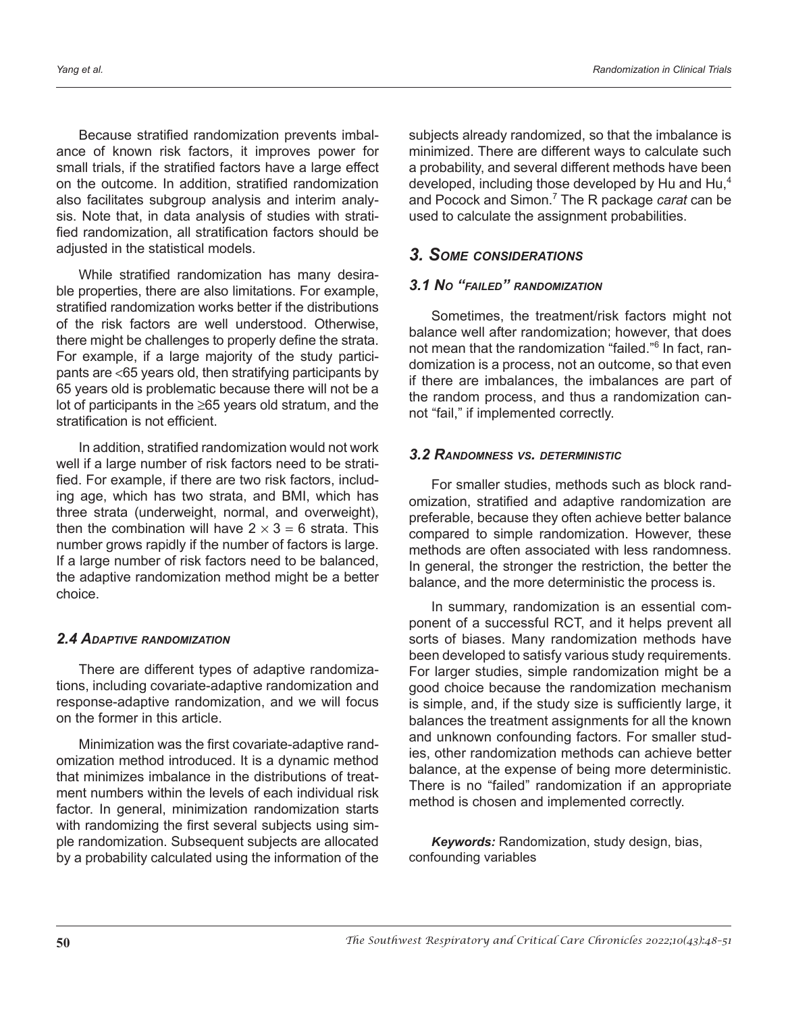Because stratified randomization prevents imbalance of known risk factors, it improves power for small trials, if the stratified factors have a large effect on the outcome. In addition, stratified randomization also facilitates subgroup analysis and interim analysis. Note that, in data analysis of studies with stratified randomization, all stratification factors should be adjusted in the statistical models.

While stratified randomization has many desirable properties, there are also limitations. For example, stratified randomization works better if the distributions of the risk factors are well understood. Otherwise, there might be challenges to properly define the strata. For example, if a large majority of the study participants are <65 years old, then stratifying participants by 65 years old is problematic because there will not be a lot of participants in the ≥65 years old stratum, and the stratification is not efficient.

In addition, stratified randomization would not work well if a large number of risk factors need to be stratified. For example, if there are two risk factors, including age, which has two strata, and BMI, which has three strata (underweight, normal, and overweight), then the combination will have  $2 \times 3 = 6$  strata. This number grows rapidly if the number of factors is large. If a large number of risk factors need to be balanced, the adaptive randomization method might be a better choice.

### *2.4 Adaptive randomization*

There are different types of adaptive randomizations, including covariate-adaptive randomization and response-adaptive randomization, and we will focus on the former in this article.

Minimization was the first covariate-adaptive randomization method introduced. It is a dynamic method that minimizes imbalance in the distributions of treatment numbers within the levels of each individual risk factor. In general, minimization randomization starts with randomizing the first several subjects using simple randomization. Subsequent subjects are allocated by a probability calculated using the information of the subjects already randomized, so that the imbalance is minimized. There are different ways to calculate such a probability, and several different methods have been developed, including those developed by Hu and Hu,<sup>4</sup> and Pocock and Simon.7 The R package *carat* can be used to calculate the assignment probabilities.

# *3. Some considerations*

## *3.1 No "failed" randomization*

Sometimes, the treatment/risk factors might not balance well after randomization; however, that does not mean that the randomization "failed."<sup>6</sup> In fact, randomization is a process, not an outcome, so that even if there are imbalances, the imbalances are part of the random process, and thus a randomization cannot "fail," if implemented correctly.

### *3.2 Randomness vs. deterministic*

For smaller studies, methods such as block randomization, stratified and adaptive randomization are preferable, because they often achieve better balance compared to simple randomization. However, these methods are often associated with less randomness. In general, the stronger the restriction, the better the balance, and the more deterministic the process is.

In summary, randomization is an essential component of a successful RCT, and it helps prevent all sorts of biases. Many randomization methods have been developed to satisfy various study requirements. For larger studies, simple randomization might be a good choice because the randomization mechanism is simple, and, if the study size is sufficiently large, it balances the treatment assignments for all the known and unknown confounding factors. For smaller studies, other randomization methods can achieve better balance, at the expense of being more deterministic. There is no "failed" randomization if an appropriate method is chosen and implemented correctly.

*Keywords:* Randomization, study design, bias, confounding variables